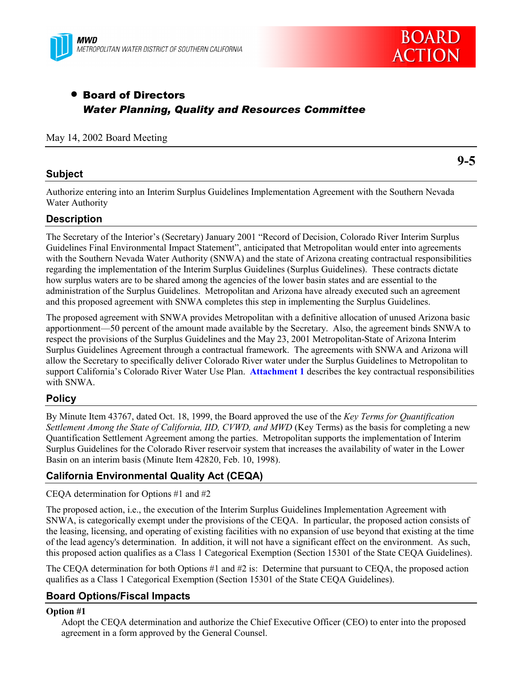



# • Board of Directors *Water Planning, Quality and Resources Committee*

## May 14, 2002 Board Meeting

# **Subject**

**9-5**

Authorize entering into an Interim Surplus Guidelines Implementation Agreement with the Southern Nevada Water Authority

# **Description**

The Secretary of the Interior's (Secretary) January 2001 "Record of Decision, Colorado River Interim Surplus Guidelines Final Environmental Impact Statement", anticipated that Metropolitan would enter into agreements with the Southern Nevada Water Authority (SNWA) and the state of Arizona creating contractual responsibilities regarding the implementation of the Interim Surplus Guidelines (Surplus Guidelines). These contracts dictate how surplus waters are to be shared among the agencies of the lower basin states and are essential to the administration of the Surplus Guidelines. Metropolitan and Arizona have already executed such an agreement and this proposed agreement with SNWA completes this step in implementing the Surplus Guidelines.

The proposed agreement with SNWA provides Metropolitan with a definitive allocation of unused Arizona basic apportionment—50 percent of the amount made available by the Secretary. Also, the agreement binds SNWA to respect the provisions of the Surplus Guidelines and the May 23, 2001 Metropolitan-State of Arizona Interim Surplus Guidelines Agreement through a contractual framework. The agreements with SNWA and Arizona will allow the Secretary to specifically deliver Colorado River water under the Surplus Guidelines to Metropolitan to support California's Colorado River Water Use Plan. **Attachment 1** describes the key contractual responsibilities with SNWA.

# **Policy**

By Minute Item 43767, dated Oct. 18, 1999, the Board approved the use of the *Key Terms for Quantification Settlement Among the State of California, IID, CVWD, and MWD* (Key Terms) as the basis for completing a new Quantification Settlement Agreement among the parties. Metropolitan supports the implementation of Interim Surplus Guidelines for the Colorado River reservoir system that increases the availability of water in the Lower Basin on an interim basis (Minute Item 42820, Feb. 10, 1998).

# **California Environmental Quality Act (CEQA)**

CEQA determination for Options #1 and #2

The proposed action, i.e., the execution of the Interim Surplus Guidelines Implementation Agreement with SNWA, is categorically exempt under the provisions of the CEQA. In particular, the proposed action consists of the leasing, licensing, and operating of existing facilities with no expansion of use beyond that existing at the time of the lead agency's determination. In addition, it will not have a significant effect on the environment. As such, this proposed action qualifies as a Class 1 Categorical Exemption (Section 15301 of the State CEQA Guidelines).

The CEQA determination for both Options #1 and #2 is: Determine that pursuant to CEQA, the proposed action qualifies as a Class 1 Categorical Exemption (Section 15301 of the State CEQA Guidelines).

# **Board Options/Fiscal Impacts**

#### **Option #1**

Adopt the CEQA determination and authorize the Chief Executive Officer (CEO) to enter into the proposed agreement in a form approved by the General Counsel.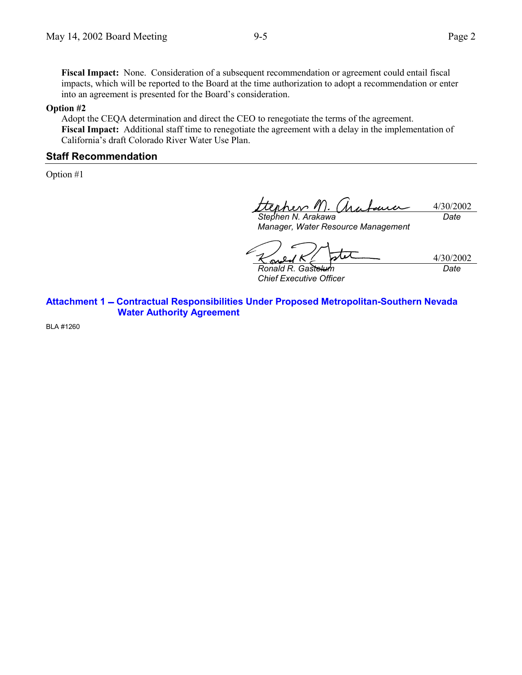**Fiscal Impact:** None. Consideration of a subsequent recommendation or agreement could entail fiscal impacts, which will be reported to the Board at the time authorization to adopt a recommendation or enter into an agreement is presented for the Board's consideration.

#### **Option #2**

Adopt the CEQA determination and direct the CEO to renegotiate the terms of the agreement. **Fiscal Impact:** Additional staff time to renegotiate the agreement with a delay in the implementation of California's draft Colorado River Water Use Plan.

## **Staff Recommendation**

Option #1

enhev M. 4/30/2002 *Stephen N. Arakawa Date*

*Manager, Water Resource Management*

4/30/2002 *Date*

*Ronald R. Gastelum Chief Executive Officer*

**Attachment 1 Contractual Responsibilities Under Proposed Metropolitan-Southern Nevada Water Authority Agreement**

BLA #1260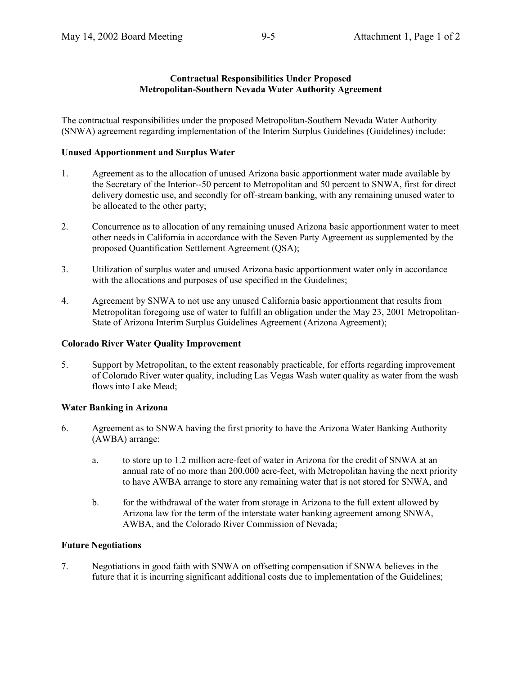### **Contractual Responsibilities Under Proposed Metropolitan-Southern Nevada Water Authority Agreement**

The contractual responsibilities under the proposed Metropolitan-Southern Nevada Water Authority (SNWA) agreement regarding implementation of the Interim Surplus Guidelines (Guidelines) include:

### **Unused Apportionment and Surplus Water**

- 1. Agreement as to the allocation of unused Arizona basic apportionment water made available by the Secretary of the Interior--50 percent to Metropolitan and 50 percent to SNWA, first for direct delivery domestic use, and secondly for off-stream banking, with any remaining unused water to be allocated to the other party;
- 2. Concurrence as to allocation of any remaining unused Arizona basic apportionment water to meet other needs in California in accordance with the Seven Party Agreement as supplemented by the proposed Quantification Settlement Agreement (QSA);
- 3. Utilization of surplus water and unused Arizona basic apportionment water only in accordance with the allocations and purposes of use specified in the Guidelines;
- 4. Agreement by SNWA to not use any unused California basic apportionment that results from Metropolitan foregoing use of water to fulfill an obligation under the May 23, 2001 Metropolitan-State of Arizona Interim Surplus Guidelines Agreement (Arizona Agreement);

#### **Colorado River Water Quality Improvement**

5. Support by Metropolitan, to the extent reasonably practicable, for efforts regarding improvement of Colorado River water quality, including Las Vegas Wash water quality as water from the wash flows into Lake Mead;

# **Water Banking in Arizona**

- 6. Agreement as to SNWA having the first priority to have the Arizona Water Banking Authority (AWBA) arrange:
	- a. to store up to 1.2 million acre-feet of water in Arizona for the credit of SNWA at an annual rate of no more than 200,000 acre-feet, with Metropolitan having the next priority to have AWBA arrange to store any remaining water that is not stored for SNWA, and
	- b. for the withdrawal of the water from storage in Arizona to the full extent allowed by Arizona law for the term of the interstate water banking agreement among SNWA, AWBA, and the Colorado River Commission of Nevada;

# **Future Negotiations**

7. Negotiations in good faith with SNWA on offsetting compensation if SNWA believes in the future that it is incurring significant additional costs due to implementation of the Guidelines;